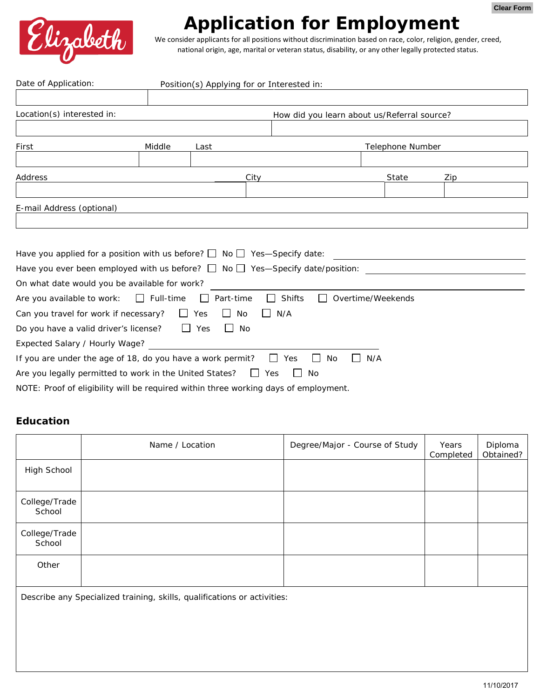

## **Application for Employment**

We consider applicants for all positions without discrimination based on race, color, religion, gender, creed, national origin, age, marital or veteran status, disability, or any other legally protected status.

| Date of Application:           |                                                            |                      | Position(s) Applying for or Interested in:                                              |                                                           |                  |     |
|--------------------------------|------------------------------------------------------------|----------------------|-----------------------------------------------------------------------------------------|-----------------------------------------------------------|------------------|-----|
|                                |                                                            |                      |                                                                                         |                                                           |                  |     |
| Location(s) interested in:     |                                                            |                      | How did you learn about us/Referral source?                                             |                                                           |                  |     |
|                                |                                                            |                      |                                                                                         |                                                           |                  |     |
| First                          | Middle                                                     | Last                 |                                                                                         |                                                           | Telephone Number |     |
|                                |                                                            |                      |                                                                                         |                                                           |                  |     |
| Address                        |                                                            |                      | City                                                                                    |                                                           | State            | Zip |
|                                |                                                            |                      |                                                                                         |                                                           |                  |     |
| E-mail Address (optional)      |                                                            |                      |                                                                                         |                                                           |                  |     |
|                                |                                                            |                      |                                                                                         |                                                           |                  |     |
|                                |                                                            |                      |                                                                                         |                                                           |                  |     |
|                                |                                                            |                      | Have you applied for a position with us before? $\Box$ No $\Box$ Yes—Specify date:      | <u> 1989 - Andrea Station Books, amerikansk politik (</u> |                  |     |
|                                |                                                            |                      | Have you ever been employed with us before? $\Box$ No $\Box$ Yes—Specify date/position: |                                                           |                  |     |
|                                | On what date would you be available for work?              |                      |                                                                                         |                                                           |                  |     |
| Are you available to work:     | $\Box$ Full-time                                           | Part-time<br>$\Box$  | $\Box$<br>Shifts<br>$\perp$                                                             | Overtime/Weekends                                         |                  |     |
|                                | Can you travel for work if necessary?                      | $\Box$ Yes<br>$\Box$ | N/A<br>No<br>$\perp$                                                                    |                                                           |                  |     |
|                                | Do you have a valid driver's license? $\Box$ Yes           | $\Box$ No            |                                                                                         |                                                           |                  |     |
| Expected Salary / Hourly Wage? |                                                            |                      |                                                                                         |                                                           |                  |     |
|                                | If you are under the age of 18, do you have a work permit? |                      | II Yes                                                                                  | N/A<br>No                                                 |                  |     |
|                                | Are you legally permitted to work in the United States?    |                      | $\overline{\phantom{a}}$<br><b>No</b><br>Yes                                            |                                                           |                  |     |
|                                |                                                            |                      | NOTE: Proof of eligibility will be required within three working days of employment.    |                                                           |                  |     |

## **Education**

|                                                                          | Name / Location | Degree/Major - Course of Study | Years<br>Completed | Diploma<br>Obtained? |  |  |
|--------------------------------------------------------------------------|-----------------|--------------------------------|--------------------|----------------------|--|--|
| High School                                                              |                 |                                |                    |                      |  |  |
| College/Trade<br>School                                                  |                 |                                |                    |                      |  |  |
| College/Trade<br>School                                                  |                 |                                |                    |                      |  |  |
| Other                                                                    |                 |                                |                    |                      |  |  |
| Describe any Specialized training, skills, qualifications or activities: |                 |                                |                    |                      |  |  |
|                                                                          |                 |                                |                    |                      |  |  |
|                                                                          |                 |                                |                    |                      |  |  |